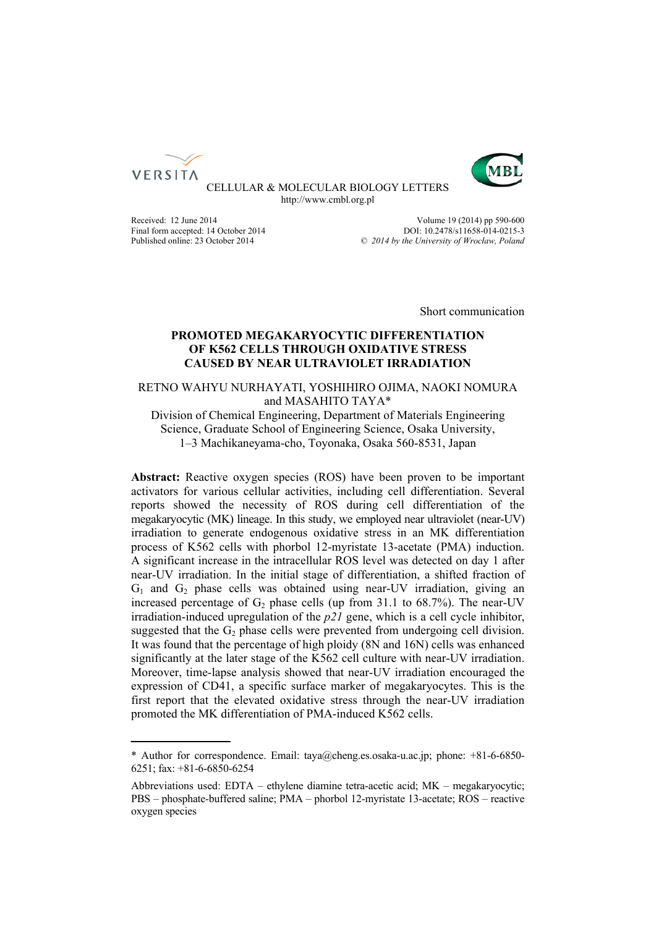



CELLULAR & MOLECULAR BIOLOGY LETTERS http://www.cmbl.org.pl

Final form accepted: 14 October 2014<br>Published online: 23 October 2014

Received: 12 June 2014<br>
Final form accepted: 14 October 2014<br>
PDDI: 10.2478/s11658-014-0215-3 Published online: 23 October 2014 *© 2014 by the University of Wrocław, Poland*

Short communication

# **PROMOTED MEGAKARYOCYTIC DIFFERENTIATION OF K562 CELLS THROUGH OXIDATIVE STRESS CAUSED BY NEAR ULTRAVIOLET IRRADIATION**

# RETNO WAHYU NURHAYATI, YOSHIHIRO OJIMA, NAOKI NOMURA and MASAHITO TAYA\*

Division of Chemical Engineering, Department of Materials Engineering Science, Graduate School of Engineering Science, Osaka University, 1–3 Machikaneyama-cho, Toyonaka, Osaka 560-8531, Japan

**Abstract:** Reactive oxygen species (ROS) have been proven to be important activators for various cellular activities, including cell differentiation. Several reports showed the necessity of ROS during cell differentiation of the megakaryocytic (MK) lineage. In this study, we employed near ultraviolet (near-UV) irradiation to generate endogenous oxidative stress in an MK differentiation process of K562 cells with phorbol 12-myristate 13-acetate (PMA) induction. A significant increase in the intracellular ROS level was detected on day 1 after near-UV irradiation. In the initial stage of differentiation, a shifted fraction of  $G_1$  and  $G_2$  phase cells was obtained using near-UV irradiation, giving an increased percentage of  $G_2$  phase cells (up from 31.1 to 68.7%). The near-UV irradiation-induced upregulation of the *p21* gene, which is a cell cycle inhibitor, suggested that the  $G_2$  phase cells were prevented from undergoing cell division. It was found that the percentage of high ploidy (8N and 16N) cells was enhanced significantly at the later stage of the K562 cell culture with near-UV irradiation. Moreover, time-lapse analysis showed that near-UV irradiation encouraged the expression of CD41, a specific surface marker of megakaryocytes. This is the first report that the elevated oxidative stress through the near-UV irradiation promoted the MK differentiation of PMA-induced K562 cells.

<sup>\*</sup> Author for correspondence. Email: taya@cheng.es.osaka-u.ac.jp; phone: +81-6-6850- 6251; fax: +81-6-6850-6254

Abbreviations used: EDTA – ethylene diamine tetra-acetic acid; MK – megakaryocytic; PBS – phosphate-buffered saline; PMA – phorbol 12-myristate 13-acetate; ROS – reactive oxygen species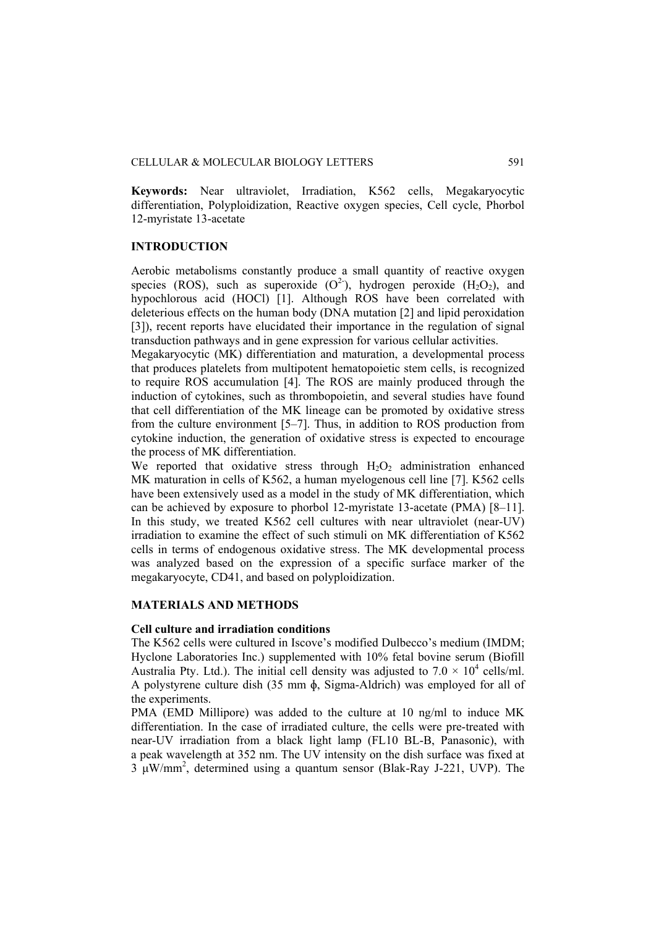**Keywords:** Near ultraviolet, Irradiation, K562 cells, Megakaryocytic differentiation, Polyploidization, Reactive oxygen species, Cell cycle, Phorbol 12-myristate 13-acetate

# **INTRODUCTION**

Aerobic metabolisms constantly produce a small quantity of reactive oxygen species (ROS), such as superoxide  $(O^2)$ , hydrogen peroxide  $(H_2O_2)$ , and hypochlorous acid (HOCl) [1]. Although ROS have been correlated with deleterious effects on the human body (DNA mutation [2] and lipid peroxidation [3]), recent reports have elucidated their importance in the regulation of signal transduction pathways and in gene expression for various cellular activities.

Megakaryocytic (MK) differentiation and maturation, a developmental process that produces platelets from multipotent hematopoietic stem cells, is recognized to require ROS accumulation [4]. The ROS are mainly produced through the induction of cytokines, such as thrombopoietin, and several studies have found that cell differentiation of the MK lineage can be promoted by oxidative stress from the culture environment [5–7]. Thus, in addition to ROS production from cytokine induction, the generation of oxidative stress is expected to encourage the process of MK differentiation.

We reported that oxidative stress through  $H_2O_2$  administration enhanced MK maturation in cells of K562, a human myelogenous cell line [7]. K562 cells have been extensively used as a model in the study of MK differentiation, which can be achieved by exposure to phorbol 12-myristate 13-acetate (PMA) [8–11]. In this study, we treated K562 cell cultures with near ultraviolet (near-UV) irradiation to examine the effect of such stimuli on MK differentiation of K562 cells in terms of endogenous oxidative stress. The MK developmental process was analyzed based on the expression of a specific surface marker of the megakaryocyte, CD41, and based on polyploidization.

## **MATERIALS AND METHODS**

#### **Cell culture and irradiation conditions**

The K562 cells were cultured in Iscove's modified Dulbecco's medium (IMDM; Hyclone Laboratories Inc.) supplemented with 10% fetal bovine serum (Biofill Australia Pty. Ltd.). The initial cell density was adjusted to  $7.0 \times 10^4$  cells/ml. A polystyrene culture dish (35 mm ɸ, Sigma-Aldrich) was employed for all of the experiments.

PMA (EMD Millipore) was added to the culture at 10 ng/ml to induce MK differentiation. In the case of irradiated culture, the cells were pre-treated with near-UV irradiation from a black light lamp (FL10 BL-B, Panasonic), with a peak wavelength at 352 nm. The UV intensity on the dish surface was fixed at 3 μW/mm2 , determined using a quantum sensor (Blak-Ray J-221, UVP). The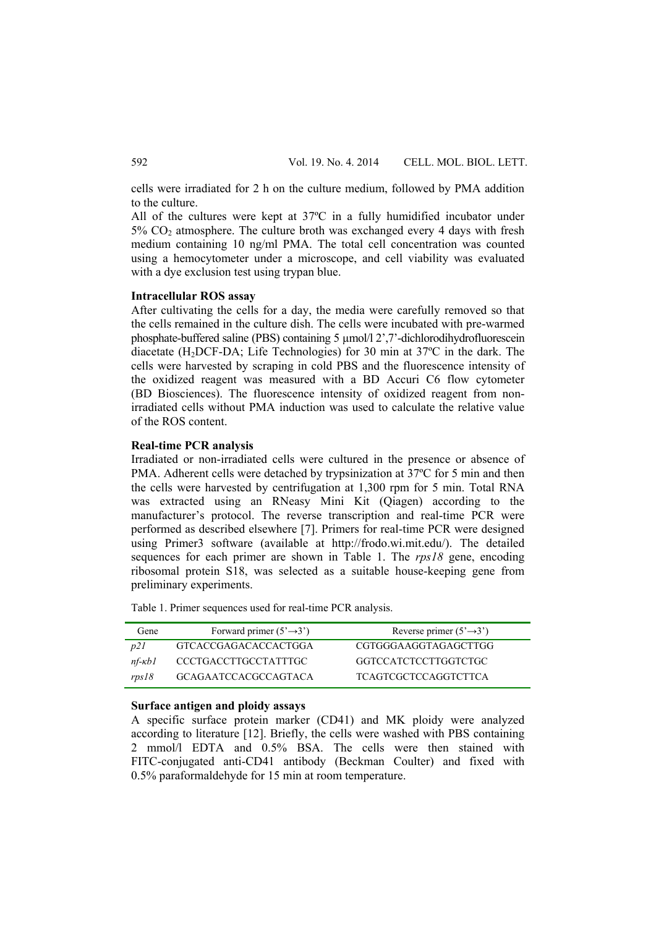cells were irradiated for 2 h on the culture medium, followed by PMA addition to the culture.

All of the cultures were kept at 37ºC in a fully humidified incubator under  $5\%$  CO<sub>2</sub> atmosphere. The culture broth was exchanged every 4 days with fresh medium containing 10 ng/ml PMA. The total cell concentration was counted using a hemocytometer under a microscope, and cell viability was evaluated with a dye exclusion test using trypan blue.

## **Intracellular ROS assay**

After cultivating the cells for a day, the media were carefully removed so that the cells remained in the culture dish. The cells were incubated with pre-warmed phosphate-buffered saline (PBS) containing 5 µmol/l 2',7'-dichlorodihydrofluorescein diacetate (H2DCF-DA; Life Technologies) for 30 min at 37ºC in the dark. The cells were harvested by scraping in cold PBS and the fluorescence intensity of the oxidized reagent was measured with a BD Accuri C6 flow cytometer (BD Biosciences). The fluorescence intensity of oxidized reagent from nonirradiated cells without PMA induction was used to calculate the relative value of the ROS content.

## **Real-time PCR analysis**

Irradiated or non-irradiated cells were cultured in the presence or absence of PMA. Adherent cells were detached by trypsinization at 37ºC for 5 min and then the cells were harvested by centrifugation at 1,300 rpm for 5 min. Total RNA was extracted using an RNeasy Mini Kit (Qiagen) according to the manufacturer's protocol. The reverse transcription and real-time PCR were performed as described elsewhere [7]. Primers for real-time PCR were designed using Primer3 software (available at http://frodo.wi.mit.edu/). The detailed sequences for each primer are shown in Table 1. The *rps18* gene, encoding ribosomal protein S18, was selected as a suitable house-keeping gene from preliminary experiments.

Table 1. Primer sequences used for real-time PCR analysis.

| Gene                 | Forward primer $(5' \rightarrow 3')$ | Reverse primer $(5' \rightarrow 3')$ |
|----------------------|--------------------------------------|--------------------------------------|
| D21                  | GTCACCGAGACACCACTGGA                 | CGTGGGAAGGTAGAGCTTGG                 |
| $n f$ - $\kappa b$ 1 | CCCTGACCTTGCCTATTTGC                 | GGTCCATCTCCTTGGTCTGC                 |
| rps18                | <b>GCAGAATCCACGCCAGTACA</b>          | <b>TCAGTCGCTCCAGGTCTTCA</b>          |

#### **Surface antigen and ploidy assays**

A specific surface protein marker (CD41) and MK ploidy were analyzed according to literature [12]. Briefly, the cells were washed with PBS containing 2 mmol/l EDTA and 0.5% BSA. The cells were then stained with FITC-conjugated anti-CD41 antibody (Beckman Coulter) and fixed with 0.5% paraformaldehyde for 15 min at room temperature.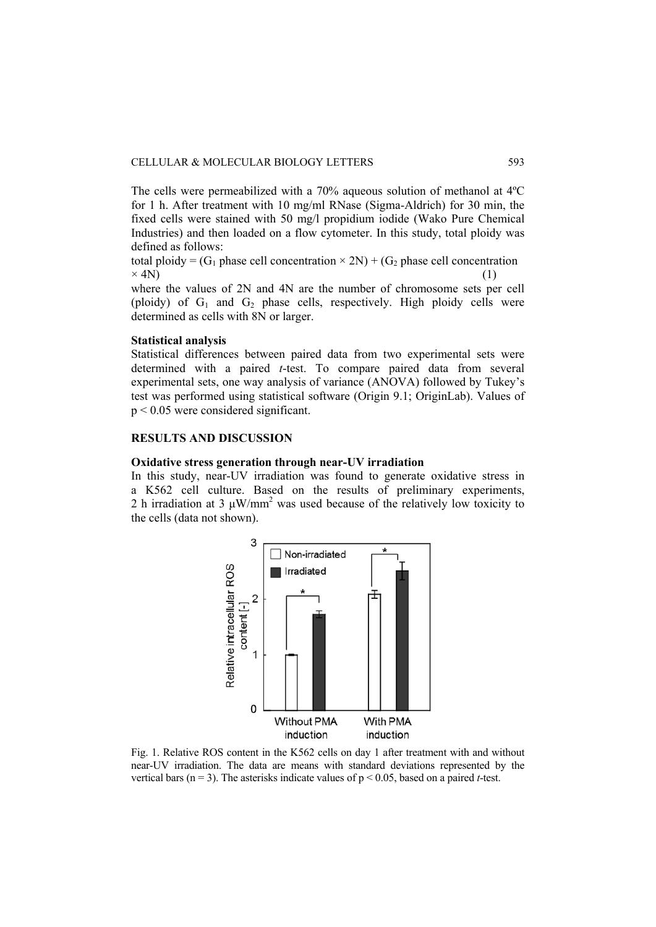The cells were permeabilized with a 70% aqueous solution of methanol at 4ºC for 1 h. After treatment with 10 mg/ml RNase (Sigma-Aldrich) for 30 min, the fixed cells were stained with 50 mg/l propidium iodide (Wako Pure Chemical Industries) and then loaded on a flow cytometer. In this study, total ploidy was defined as follows:

total ploidy =  $(G_1$  phase cell concentration  $\times 2N$ ) +  $(G_2$  phase cell concentration  $\times$  4N) (1)

where the values of 2N and 4N are the number of chromosome sets per cell (ploidy) of  $G_1$  and  $G_2$  phase cells, respectively. High ploidy cells were determined as cells with 8N or larger.

## **Statistical analysis**

Statistical differences between paired data from two experimental sets were determined with a paired *t*-test. To compare paired data from several experimental sets, one way analysis of variance (ANOVA) followed by Tukey's test was performed using statistical software (Origin 9.1; OriginLab). Values of p < 0.05 were considered significant.

# **RESULTS AND DISCUSSION**

#### **Oxidative stress generation through near-UV irradiation**

In this study, near-UV irradiation was found to generate oxidative stress in a K562 cell culture. Based on the results of preliminary experiments, 2 h irradiation at 3  $\mu$ W/mm<sup>2</sup> was used because of the relatively low toxicity to the cells (data not shown).



Fig. 1. Relative ROS content in the K562 cells on day 1 after treatment with and without near-UV irradiation. The data are means with standard deviations represented by the vertical bars ( $n = 3$ ). The asterisks indicate values of  $p < 0.05$ , based on a paired *t*-test.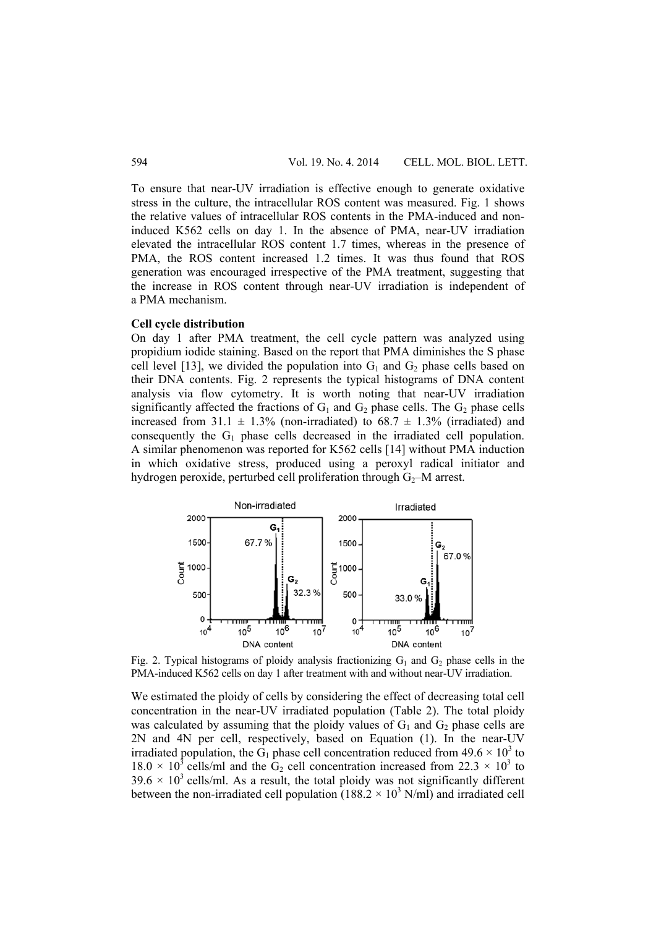To ensure that near-UV irradiation is effective enough to generate oxidative stress in the culture, the intracellular ROS content was measured. Fig. 1 shows the relative values of intracellular ROS contents in the PMA-induced and noninduced K562 cells on day 1. In the absence of PMA, near-UV irradiation elevated the intracellular ROS content 1.7 times, whereas in the presence of PMA, the ROS content increased 1.2 times. It was thus found that ROS generation was encouraged irrespective of the PMA treatment, suggesting that the increase in ROS content through near-UV irradiation is independent of a PMA mechanism.

#### **Cell cycle distribution**

On day 1 after PMA treatment, the cell cycle pattern was analyzed using propidium iodide staining. Based on the report that PMA diminishes the S phase cell level [13], we divided the population into  $G_1$  and  $G_2$  phase cells based on their DNA contents. Fig. 2 represents the typical histograms of DNA content analysis via flow cytometry. It is worth noting that near-UV irradiation significantly affected the fractions of  $G_1$  and  $G_2$  phase cells. The  $G_2$  phase cells increased from 31.1  $\pm$  1.3% (non-irradiated) to 68.7  $\pm$  1.3% (irradiated) and consequently the  $G_1$  phase cells decreased in the irradiated cell population. A similar phenomenon was reported for K562 cells [14] without PMA induction in which oxidative stress, produced using a peroxyl radical initiator and hydrogen peroxide, perturbed cell proliferation through  $G<sub>2</sub>$ –M arrest.



Fig. 2. Typical histograms of ploidy analysis fractionizing  $G_1$  and  $G_2$  phase cells in the PMA-induced K562 cells on day 1 after treatment with and without near-UV irradiation.

We estimated the ploidy of cells by considering the effect of decreasing total cell concentration in the near-UV irradiated population (Table 2). The total ploidy was calculated by assuming that the ploidy values of  $G_1$  and  $G_2$  phase cells are 2N and 4N per cell, respectively, based on Equation (1). In the near-UV irradiated population, the  $\hat{G}_1$  phase cell concentration reduced from 49.6  $\times$  10<sup>3</sup> to  $18.0 \times 10^3$  cells/ml and the G<sub>2</sub> cell concentration increased from 22.3  $\times$  10<sup>3</sup> to  $39.6 \times 10^3$  cells/ml. As a result, the total ploidy was not significantly different between the non-irradiated cell population  $(188.2 \times 10^3 \text{ N/ml})$  and irradiated cell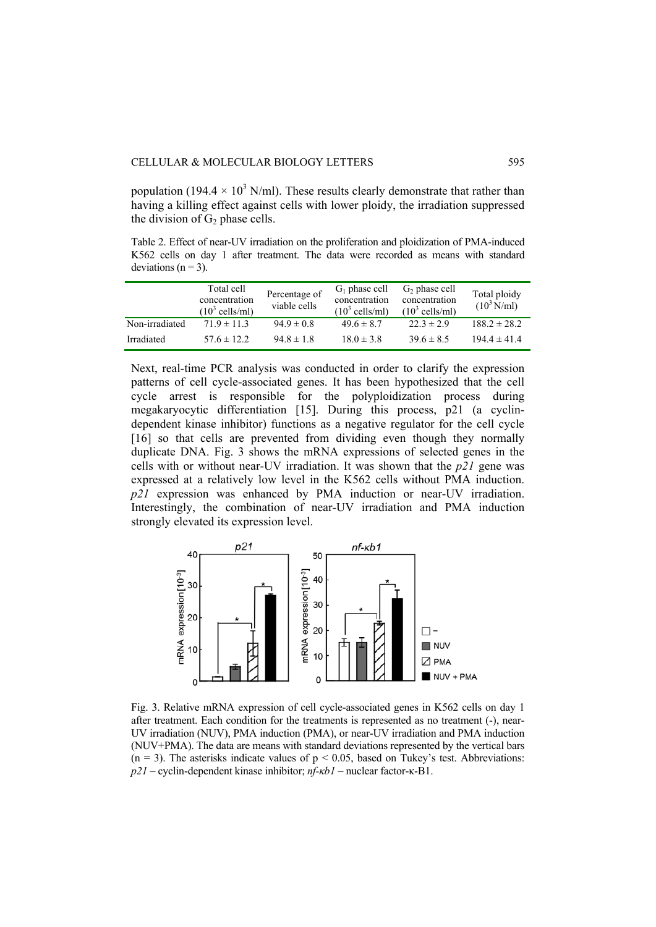population (194.4  $\times$  10<sup>3</sup> N/ml). These results clearly demonstrate that rather than having a killing effect against cells with lower ploidy, the irradiation suppressed the division of  $G_2$  phase cells.

Table 2. Effect of near-UV irradiation on the proliferation and ploidization of PMA-induced K562 cells on day 1 after treatment. The data were recorded as means with standard deviations ( $n = 3$ ).

|                | Total cell<br>concentration<br>$(10^3 \text{ cells/ml})$ | Percentage of<br>viable cells | $G_1$ phase cell<br>concentration<br>$(10^3 \text{ cells/ml})$ | $G2$ phase cell<br>concentration<br>$(10^3 \text{ cells/ml})$ | Total ploidy<br>$(10^3 \text{ N/ml})$ |
|----------------|----------------------------------------------------------|-------------------------------|----------------------------------------------------------------|---------------------------------------------------------------|---------------------------------------|
| Non-irradiated | $719 \pm 113$                                            | $94.9 \pm 0.8$                | $49.6 \pm 8.7$                                                 | $22.3 \pm 2.9$                                                | $188.2 \pm 28.2$                      |
| Irradiated     | $57.6 \pm 12.2$                                          | $94.8 \pm 1.8$                | $18.0 \pm 3.8$                                                 | $39.6 \pm 8.5$                                                | $194.4 \pm 41.4$                      |

Next, real-time PCR analysis was conducted in order to clarify the expression patterns of cell cycle-associated genes. It has been hypothesized that the cell cycle arrest is responsible for the polyploidization process during megakaryocytic differentiation [15]. During this process, p21 (a cyclindependent kinase inhibitor) functions as a negative regulator for the cell cycle [16] so that cells are prevented from dividing even though they normally duplicate DNA. Fig. 3 shows the mRNA expressions of selected genes in the cells with or without near-UV irradiation. It was shown that the *p21* gene was expressed at a relatively low level in the K562 cells without PMA induction. *p21* expression was enhanced by PMA induction or near-UV irradiation. Interestingly, the combination of near-UV irradiation and PMA induction strongly elevated its expression level.



Fig. 3. Relative mRNA expression of cell cycle-associated genes in K562 cells on day 1 after treatment. Each condition for the treatments is represented as no treatment (-), near-UV irradiation (NUV), PMA induction (PMA), or near-UV irradiation and PMA induction (NUV+PMA). The data are means with standard deviations represented by the vertical bars  $(n = 3)$ . The asterisks indicate values of  $p < 0.05$ , based on Tukey's test. Abbreviations: *p21* – cyclin-dependent kinase inhibitor; *nf-κb1* – nuclear factor-κ-B1.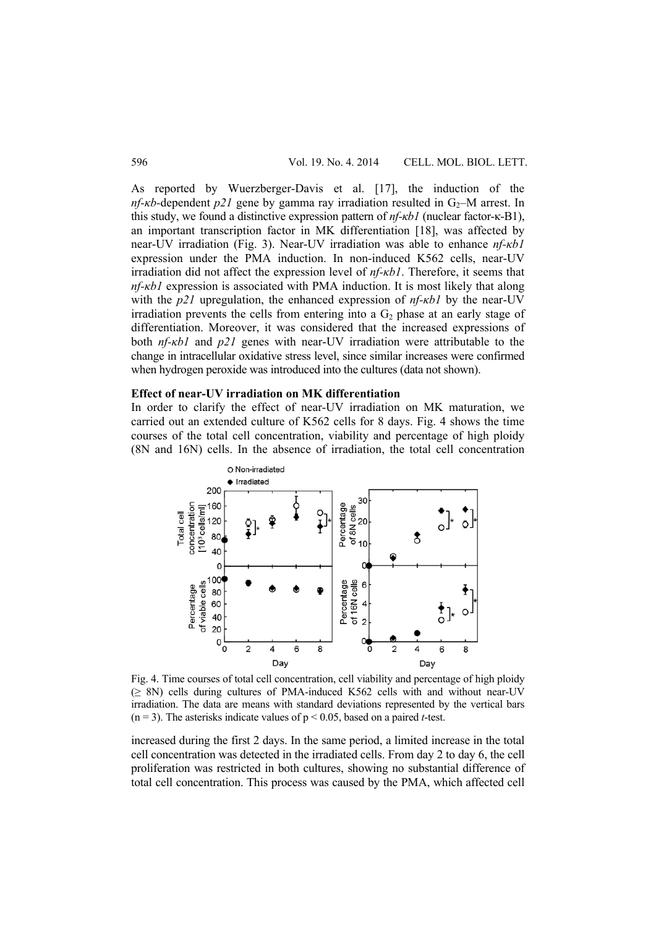As reported by Wuerzberger-Davis et al. [17], the induction of the *nf-kb*-dependent  $p21$  gene by gamma ray irradiation resulted in  $G_2$ –M arrest. In this study, we found a distinctive expression pattern of *nf-κb1* (nuclear factor-κ-B1), an important transcription factor in MK differentiation [18], was affected by near-UV irradiation (Fig. 3). Near-UV irradiation was able to enhance *nf-κb1* expression under the PMA induction. In non-induced K562 cells, near-UV irradiation did not affect the expression level of *nf-κb1*. Therefore, it seems that *nf-κb1* expression is associated with PMA induction. It is most likely that along with the *p21* upregulation, the enhanced expression of *nf-κb1* by the near-UV irradiation prevents the cells from entering into a  $G_2$  phase at an early stage of differentiation. Moreover, it was considered that the increased expressions of both *nf-κb1* and *p21* genes with near-UV irradiation were attributable to the change in intracellular oxidative stress level, since similar increases were confirmed when hydrogen peroxide was introduced into the cultures (data not shown).

# **Effect of near-UV irradiation on MK differentiation**

In order to clarify the effect of near-UV irradiation on MK maturation, we carried out an extended culture of K562 cells for 8 days. Fig. 4 shows the time courses of the total cell concentration, viability and percentage of high ploidy (8N and 16N) cells. In the absence of irradiation, the total cell concentration



Fig. 4. Time courses of total cell concentration, cell viability and percentage of high ploidy  $(\geq 8N)$  cells during cultures of PMA-induced K562 cells with and without near-UV irradiation. The data are means with standard deviations represented by the vertical bars  $(n = 3)$ . The asterisks indicate values of  $p \le 0.05$ , based on a paired *t*-test.

increased during the first 2 days. In the same period, a limited increase in the total cell concentration was detected in the irradiated cells. From day 2 to day 6, the cell proliferation was restricted in both cultures, showing no substantial difference of total cell concentration. This process was caused by the PMA, which affected cell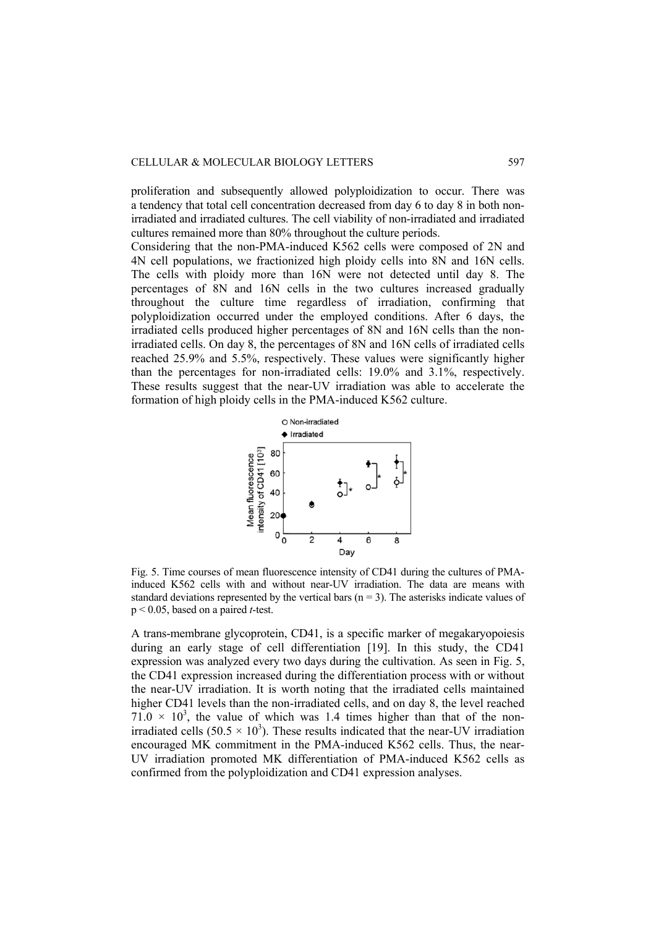#### CELLULAR & MOLECULAR BIOLOGY LETTERS 597

proliferation and subsequently allowed polyploidization to occur. There was a tendency that total cell concentration decreased from day 6 to day 8 in both nonirradiated and irradiated cultures. The cell viability of non-irradiated and irradiated cultures remained more than 80% throughout the culture periods.

Considering that the non-PMA-induced K562 cells were composed of 2N and 4N cell populations, we fractionized high ploidy cells into 8N and 16N cells. The cells with ploidy more than 16N were not detected until day 8. The percentages of 8N and 16N cells in the two cultures increased gradually throughout the culture time regardless of irradiation, confirming that polyploidization occurred under the employed conditions. After 6 days, the irradiated cells produced higher percentages of 8N and 16N cells than the nonirradiated cells. On day 8, the percentages of 8N and 16N cells of irradiated cells reached 25.9% and 5.5%, respectively. These values were significantly higher than the percentages for non-irradiated cells: 19.0% and 3.1%, respectively. These results suggest that the near-UV irradiation was able to accelerate the formation of high ploidy cells in the PMA-induced K562 culture.



Fig. 5. Time courses of mean fluorescence intensity of CD41 during the cultures of PMAinduced K562 cells with and without near-UV irradiation. The data are means with standard deviations represented by the vertical bars  $(n = 3)$ . The asterisks indicate values of p < 0.05, based on a paired *t*-test.

A trans-membrane glycoprotein, CD41, is a specific marker of megakaryopoiesis during an early stage of cell differentiation [19]. In this study, the CD41 expression was analyzed every two days during the cultivation. As seen in Fig. 5, the CD41 expression increased during the differentiation process with or without the near-UV irradiation. It is worth noting that the irradiated cells maintained higher CD41 levels than the non-irradiated cells, and on day 8, the level reached  $71.0 \times 10^3$ , the value of which was 1.4 times higher than that of the nonirradiated cells  $(50.5 \times 10^3)$ . These results indicated that the near-UV irradiation encouraged MK commitment in the PMA-induced K562 cells. Thus, the near-UV irradiation promoted MK differentiation of PMA-induced K562 cells as confirmed from the polyploidization and CD41 expression analyses.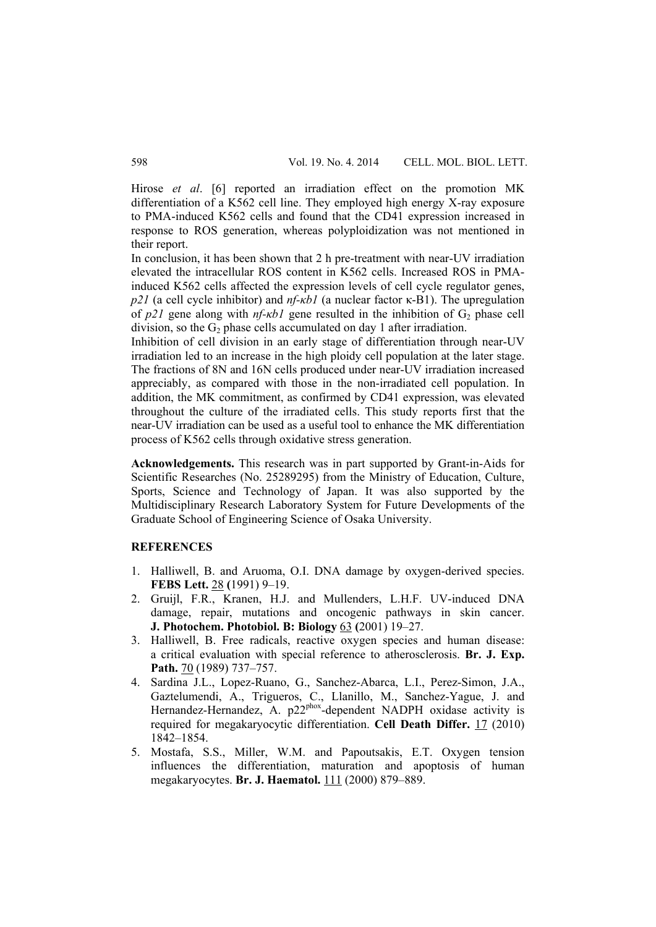Hirose *et al*. [6] reported an irradiation effect on the promotion MK differentiation of a K562 cell line. They employed high energy X-ray exposure to PMA-induced K562 cells and found that the CD41 expression increased in response to ROS generation, whereas polyploidization was not mentioned in their report.

In conclusion, it has been shown that 2 h pre-treatment with near-UV irradiation elevated the intracellular ROS content in K562 cells. Increased ROS in PMAinduced K562 cells affected the expression levels of cell cycle regulator genes, *p21* (a cell cycle inhibitor) and *nf-κb1* (a nuclear factor κ-B1). The upregulation of  $p21$  gene along with  $nf$ - $kbl$  gene resulted in the inhibition of  $G_2$  phase cell division, so the  $G_2$  phase cells accumulated on day 1 after irradiation.

Inhibition of cell division in an early stage of differentiation through near-UV irradiation led to an increase in the high ploidy cell population at the later stage. The fractions of 8N and 16N cells produced under near-UV irradiation increased appreciably, as compared with those in the non-irradiated cell population. In addition, the MK commitment, as confirmed by CD41 expression, was elevated throughout the culture of the irradiated cells. This study reports first that the near-UV irradiation can be used as a useful tool to enhance the MK differentiation process of K562 cells through oxidative stress generation.

**Acknowledgements.** This research was in part supported by Grant-in-Aids for Scientific Researches (No. 25289295) from the Ministry of Education, Culture, Sports, Science and Technology of Japan. It was also supported by the Multidisciplinary Research Laboratory System for Future Developments of the Graduate School of Engineering Science of Osaka University.

## **REFERENCES**

- 1. Halliwell, B. and Aruoma, O.I. DNA damage by oxygen-derived species. **FEBS Lett.** 28 **(**1991) 9–19.
- 2. Gruijl, F.R., Kranen, H.J. and Mullenders, L.H.F. UV-induced DNA damage, repair, mutations and oncogenic pathways in skin cancer. **J. Photochem. Photobiol. B: Biology** 63 **(**2001) 19–27.
- 3. Halliwell, B. Free radicals, reactive oxygen species and human disease: a critical evaluation with special reference to atherosclerosis. **Br. J. Exp. Path.** 70 (1989) 737–757.
- 4. Sardina J.L., Lopez-Ruano, G., Sanchez-Abarca, L.I., Perez-Simon, J.A., Gaztelumendi, A., Trigueros, C., Llanillo, M., Sanchez-Yague, J. and Hernandez-Hernandez, A. p22phox-dependent NADPH oxidase activity is required for megakaryocytic differentiation. **Cell Death Differ.** 17 (2010) 1842–1854.
- 5. Mostafa, S.S., Miller, W.M. and Papoutsakis, E.T. Oxygen tension influences the differentiation, maturation and apoptosis of human megakaryocytes. **Br. J. Haematol.** 111 (2000) 879–889.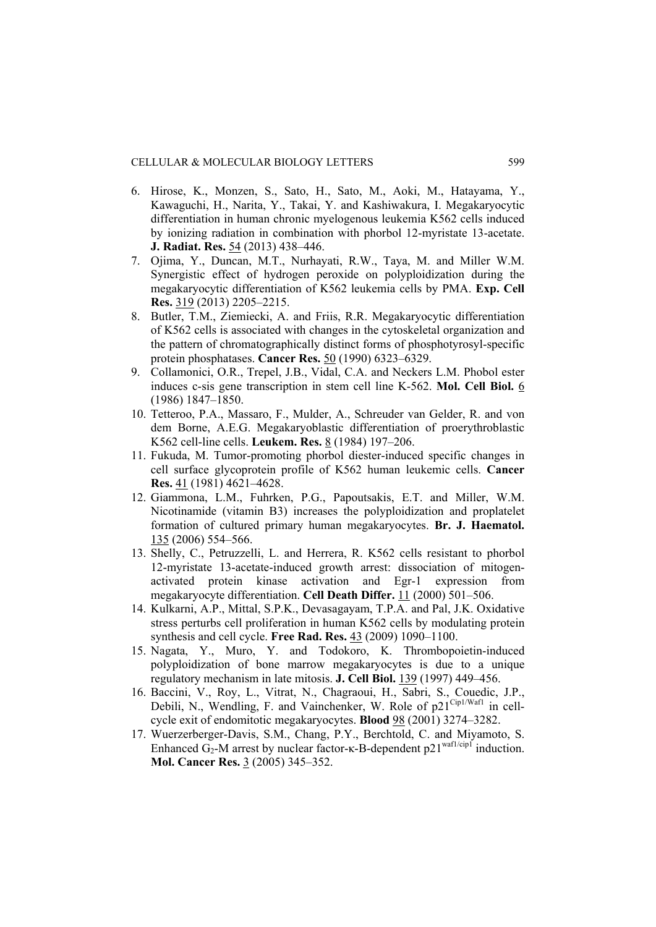- 6. Hirose, K., Monzen, S., Sato, H., Sato, M., Aoki, M., Hatayama, Y., Kawaguchi, H., Narita, Y., Takai, Y. and Kashiwakura, I. Megakaryocytic differentiation in human chronic myelogenous leukemia K562 cells induced by ionizing radiation in combination with phorbol 12-myristate 13-acetate. **J. Radiat. Res.** 54 (2013) 438–446.
- 7. Ojima, Y., Duncan, M.T., Nurhayati, R.W., Taya, M. and Miller W.M. Synergistic effect of hydrogen peroxide on polyploidization during the megakaryocytic differentiation of K562 leukemia cells by PMA. **Exp. Cell Res.** 319 (2013) 2205–2215.
- 8. Butler, T.M., Ziemiecki, A. and Friis, R.R. Megakaryocytic differentiation of K562 cells is associated with changes in the cytoskeletal organization and the pattern of chromatographically distinct forms of phosphotyrosyl-specific protein phosphatases. **Cancer Res.** 50 (1990) 6323–6329.
- 9. Collamonici, O.R., Trepel, J.B., Vidal, C.A. and Neckers L.M. Phobol ester induces c-sis gene transcription in stem cell line K-562. **Mol. Cell Biol.** 6 (1986) 1847–1850.
- 10. Tetteroo, P.A., Massaro, F., Mulder, A., Schreuder van Gelder, R. and von dem Borne, A.E.G. Megakaryoblastic differentiation of proerythroblastic K562 cell-line cells. **Leukem. Res.** 8 (1984) 197–206.
- 11. Fukuda, M. Tumor-promoting phorbol diester-induced specific changes in cell surface glycoprotein profile of K562 human leukemic cells. **Cancer Res.** 41 (1981) 4621–4628.
- 12. Giammona, L.M., Fuhrken, P.G., Papoutsakis, E.T. and Miller, W.M. Nicotinamide (vitamin B3) increases the polyploidization and proplatelet formation of cultured primary human megakaryocytes. **Br. J. Haematol.**  135 (2006) 554–566.
- 13. Shelly, C., Petruzzelli, L. and Herrera, R. K562 cells resistant to phorbol 12-myristate 13-acetate-induced growth arrest: dissociation of mitogenactivated protein kinase activation and Egr-1 expression from megakaryocyte differentiation. **Cell Death Differ.** 11 (2000) 501–506.
- 14. Kulkarni, A.P., Mittal, S.P.K., Devasagayam, T.P.A. and Pal, J.K. Oxidative stress perturbs cell proliferation in human K562 cells by modulating protein synthesis and cell cycle. **Free Rad. Res.** 43 (2009) 1090–1100.
- 15. Nagata, Y., Muro, Y. and Todokoro, K. Thrombopoietin-induced polyploidization of bone marrow megakaryocytes is due to a unique regulatory mechanism in late mitosis. **J. Cell Biol.** 139 (1997) 449–456.
- 16. Baccini, V., Roy, L., Vitrat, N., Chagraoui, H., Sabri, S., Couedic, J.P., Debili, N., Wendling, F. and Vainchenker, W. Role of  $p21^{\text{Cip1/Wafl}}$  in cellcycle exit of endomitotic megakaryocytes. **Blood** 98 (2001) 3274–3282.
- 17. Wuerzerberger-Davis, S.M., Chang, P.Y., Berchtold, C. and Miyamoto, S. Enhanced  $G_2$ -M arrest by nuclear factor- $\kappa$ -B-dependent p21<sup>waf1/cip1</sup> induction. **Mol. Cancer Res.** 3 (2005) 345–352.